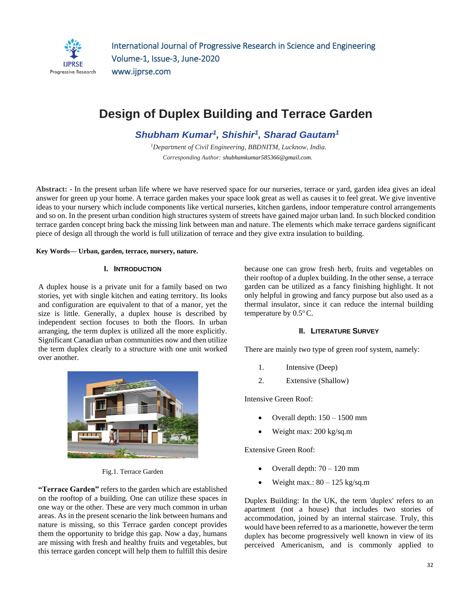

# **Design of Duplex Building and Terrace Garden**

*Shubham Kumar<sup>1</sup> , Shishir<sup>1</sup> , Sharad Gautam<sup>1</sup>*

*<sup>1</sup>Department of Civil Engineering, BBDNITM, Lucknow, India. Corresponding Author: [shubhamkumar585366@gmail.com.](mailto:Shubhamkumar585366@gmail.com)* 

**Abstract:** *-* In the present urban life where we have reserved space for our nurseries, terrace or yard, garden idea gives an ideal answer for green up your home. A terrace garden makes your space look great as well as causes it to feel great. We give inventive ideas to your nursery which include components like vertical nurseries, kitchen gardens, indoor temperature control arrangements and so on. In the present urban condition high structures system of streets have gained major urban land. In such blocked condition terrace garden concept bring back the missing link between man and nature. The elements which make terrace gardens significant piece of design all through the world is full utilization of terrace and they give extra insulation to building.

#### **Key Words— Urban, garden, terrace, nursery, nature.**

#### **I. INTRODUCTION**

A duplex house is a private unit for a family based on two stories, yet with single kitchen and eating territory. Its looks and configuration are equivalent to that of a manor, yet the size is little. Generally, a duplex house is described by independent section focuses to both the floors. In urban arranging, the term duplex is utilized all the more explicitly. Significant Canadian urban communities now and then utilize the term duplex clearly to a structure with one unit worked over another.



Fig.1. Terrace Garden

**"Terrace Garden"** refers to the garden which are established on the rooftop of a building. One can utilize these spaces in one way or the other. These are very much common in urban areas. As in the present scenario the link between humans and nature is missing, so this Terrace garden concept provides them the opportunity to bridge this gap. Now a day, humans are missing with fresh and healthy fruits and vegetables, but this terrace garden concept will help them to fulfill this desire because one can grow fresh herb, fruits and vegetables on their rooftop of a duplex building. In the other sense, a terrace garden can be utilized as a fancy finishing highlight. It not only helpful in growing and fancy purpose but also used as a thermal insulator, since it can reduce the internal building temperature by  $0.5^{\circ}$ C.

#### **II. LITERATURE SURVEY**

There are mainly two type of green roof system, namely:

- 1. Intensive (Deep)
- 2. Extensive (Shallow)

Intensive Green Roof:

- Overall depth: 150 1500 mm
- Weight max: 200 kg/sq.m

Extensive Green Roof:

- Overall depth: 70 120 mm
- Weight max.: 80 125 kg/sq.m

Duplex Building: In the UK, the term 'duplex' refers to an apartment (not a house) that includes two stories of accommodation, joined by an internal staircase. Truly, this would have been referred to as a marionette, however the term duplex has become progressively well known in view of its perceived Americanism, and is commonly applied to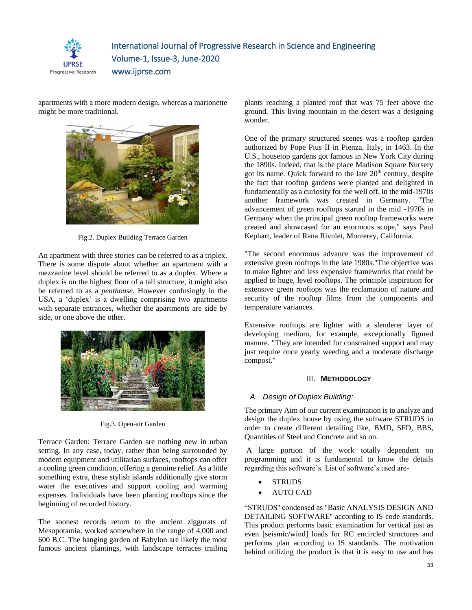

apartments with a more modern design, whereas a marionette might be more traditional.



Fig.2. Duplex Building Terrace Garden

An apartment with three stories can be referred to as a triplex. There is some dispute about whether an apartment with a mezzanine level should be referred to as a duplex. Where a duplex is on the highest floor of a tall structure, it might also be referred to as a *penthouse.* However confusingly in the USA, a 'duplex' is a dwelling comprising two apartments with separate entrances, whether the apartments are side by side, or one above the other.



Fig.3. Open-air Garden

Terrace Garden: Terrace Garden are nothing new in urban setting. In any case, today, rather than being surrounded by modern equipment and utilitarian surfaces, rooftops can offer a cooling green condition, offering a genuine relief. As a little something extra, these stylish islands additionally give storm water the executives and support cooling and warming expenses. Individuals have been planting rooftops since the beginning of recorded history.

The soonest records return to the ancient ziggurats of Mesopotamia, worked somewhere in the range of 4,000 and 600 B.C. The hanging garden of Babylon are likely the most famous ancient plantings, with landscape terraces trailing plants reaching a planted roof that was 75 feet above the ground. This living mountain in the desert was a designing wonder.

One of the primary structured scenes was a rooftop garden authorized by Pope Pius II in Pienza, Italy, in 1463. In the U.S., housetop gardens got famous in New York City during the 1890s. Indeed, that is the place Madison Square Nursery got its name. Quick forward to the late 20<sup>th</sup> century, despite the fact that rooftop gardens were planted and delighted in fundamentally as a curiosity for the well off, in the mid-1970s another framework was created in Germany. "The advancement of green rooftops started in the mid -1970s in Germany when the principal green rooftop frameworks were created and showcased for an enormous scope," says Paul Kephart, leader of Rana Rivulet, Monterey, California.

"The second enormous advance was the improvement of extensive green rooftops in the late 1980s."The objective was to make lighter and less expensive frameworks that could be applied to huge, level rooftops. The principle inspiration for extensive green rooftops was the reclamation of nature and security of the rooftop films from the components and temperature variances.

Extensive rooftops are lighter with a slenderer layer of developing medium, for example, exceptionally figured manure. "They are intended for constrained support and may just require once yearly weeding and a moderate discharge compost."

## III. **METHODOLOGY**

## *A. Design of Duplex Building:*

The primary Aim of our current examination is to analyze and design the duplex house by using the software STRUDS in order to create different detailing like, BMD, SFD, BBS, Quantities of Steel and Concrete and so on.

A large portion of the work totally dependent on programming and it is fundamental to know the details regarding this software's. List of software's used are-

- **STRUDS**
- AUTO CAD

"STRUDS'' condensed as "Basic ANALYSIS DESIGN AND DETAILING SOFTWARE'' according to IS code standards. This product performs basic examination for vertical just as even [seismic/wind] loads for RC encircled structures and performs plan according to IS standards. The motivation behind utilizing the product is that it is easy to use and has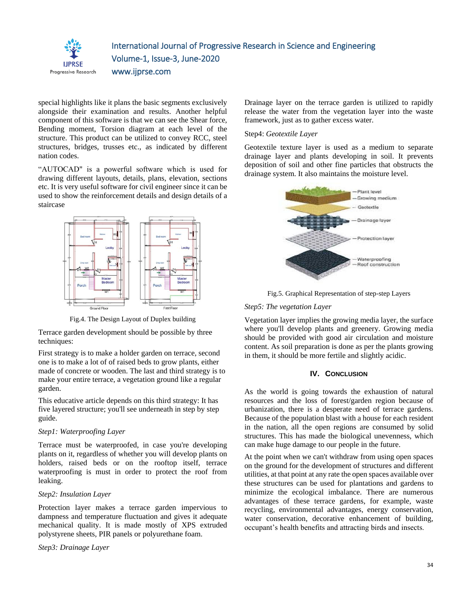

special highlights like it plans the basic segments exclusively alongside their examination and results. Another helpful component of this software is that we can see the Shear force, Bending moment, Torsion diagram at each level of the structure. This product can be utilized to convey RCC, steel structures, bridges, trusses etc., as indicated by different nation codes.

"AUTOCAD" is a powerful software which is used for drawing different layouts, details, plans, elevation, sections etc. It is very useful software for civil engineer since it can be used to show the reinforcement details and design details of a staircase



Fig.4. The Design Layout of Duplex building

Terrace garden development should be possible by three techniques:

First strategy is to make a holder garden on terrace, second one is to make a lot of of raised beds to grow plants, either made of concrete or wooden. The last and third strategy is to make your entire terrace, a vegetation ground like a regular garden.

This educative article depends on this third strategy: It has five layered structure; you'll see underneath in step by step guide.

### *Step1: Waterproofing Layer*

Terrace must be waterproofed, in case you're developing plants on it, regardless of whether you will develop plants on holders, raised beds or on the rooftop itself, terrace waterproofing is must in order to protect the roof from leaking.

#### *Step2: Insulation Layer*

Protection layer makes a terrace garden impervious to dampness and temperature fluctuation and gives it adequate mechanical quality. It is made mostly of XPS extruded polystyrene sheets, PIR panels or polyurethane foam.

*Step3: Drainage Layer* 

Drainage layer on the terrace garden is utilized to rapidly release the water from the vegetation layer into the waste framework, just as to gather excess water.

## Step4: *Geotextile Layer*

Geotextile texture layer is used as a medium to separate drainage layer and plants developing in soil. It prevents deposition of soil and other fine particles that obstructs the drainage system. It also maintains the moisture level.



Fig.5. Graphical Representation of step-step Layers

## *Step5: The vegetation Layer*

Vegetation layer implies the growing media layer, the surface where you'll develop plants and greenery. Growing media should be provided with good air circulation and moisture content. As soil preparation is done as per the plants growing in them, it should be more fertile and slightly acidic.

## **IV. CONCLUSION**

As the world is going towards the exhaustion of natural resources and the loss of forest/garden region because of urbanization, there is a desperate need of terrace gardens. Because of the population blast with a house for each resident in the nation, all the open regions are consumed by solid structures. This has made the biological unevenness, which can make huge damage to our people in the future.

At the point when we can't withdraw from using open spaces on the ground for the development of structures and different utilities, at that point at any rate the open spaces available over these structures can be used for plantations and gardens to minimize the ecological imbalance. There are numerous advantages of these terrace gardens, for example, waste recycling, environmental advantages, energy conservation, water conservation, decorative enhancement of building, occupant's health benefits and attracting birds and insects.